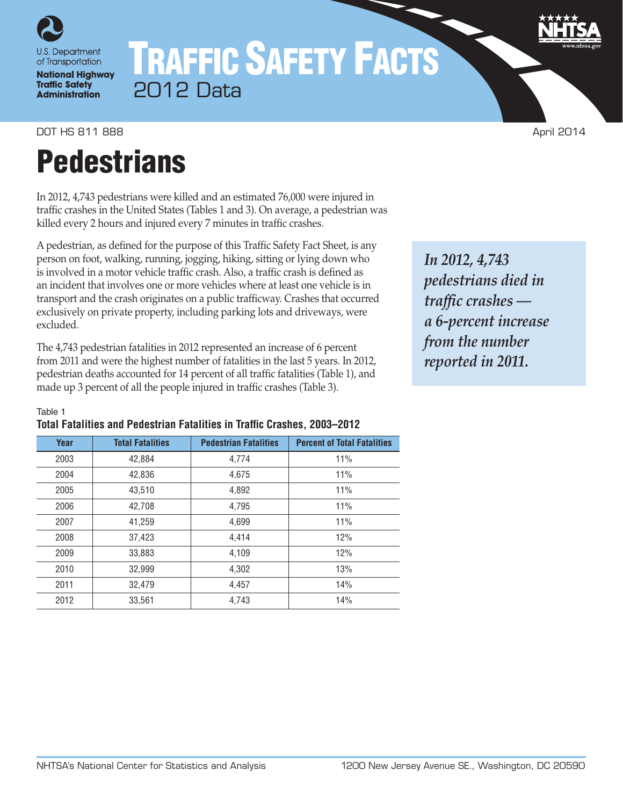

# TRAFFIC SAFETY FACTS 2012 Data

DOT HS 811 888 April 2014

# **Pedestrians**

In 2012, 4,743 pedestrians were killed and an estimated 76,000 were injured in traffic crashes in the United States (Tables 1 and 3). On average, a pedestrian was killed every 2 hours and injured every 7 minutes in traffic crashes.

A pedestrian, as defined for the purpose of this Traffic Safety Fact Sheet, is any person on foot, walking, running, jogging, hiking, sitting or lying down who is involved in a motor vehicle traffic crash. Also, a traffic crash is defined as an incident that involves one or more vehicles where at least one vehicle is in transport and the crash originates on a public trafficway. Crashes that occurred exclusively on private property, including parking lots and driveways, were excluded.

The 4,743 pedestrian fatalities in 2012 represented an increase of 6 percent from 2011 and were the highest number of fatalities in the last 5 years. In 2012, pedestrian deaths accounted for 14 percent of all traffic fatalities (Table 1), and made up 3 percent of all the people injured in traffic crashes (Table 3).

*In 2012, 4,743 pedestrians died in traffic crashes a 6-percent increase from the number reported in 2011.*

#### Table 1

| Total Fatalities and Pedestrian Fatalities in Traffic Crashes, 2003–2012 |  |  |  |
|--------------------------------------------------------------------------|--|--|--|
|--------------------------------------------------------------------------|--|--|--|

| Year | <b>Total Fatalities</b> | <b>Pedestrian Fatalities</b> | <b>Percent of Total Fatalities</b> |
|------|-------------------------|------------------------------|------------------------------------|
| 2003 | 42,884                  | 4,774                        | 11%                                |
| 2004 | 42,836                  | 4.675                        | 11%                                |
| 2005 | 43,510                  | 4,892                        | 11%                                |
| 2006 | 42,708                  | 4,795                        | 11%                                |
| 2007 | 41.259                  | 4,699                        | 11%                                |
| 2008 | 37,423                  | 4,414                        | 12%                                |
| 2009 | 33,883                  | 4,109                        | 12%                                |
| 2010 | 32,999                  | 4,302                        | 13%                                |
| 2011 | 32,479                  | 4,457                        | 14%                                |
| 2012 | 33,561                  | 4,743                        | 14%                                |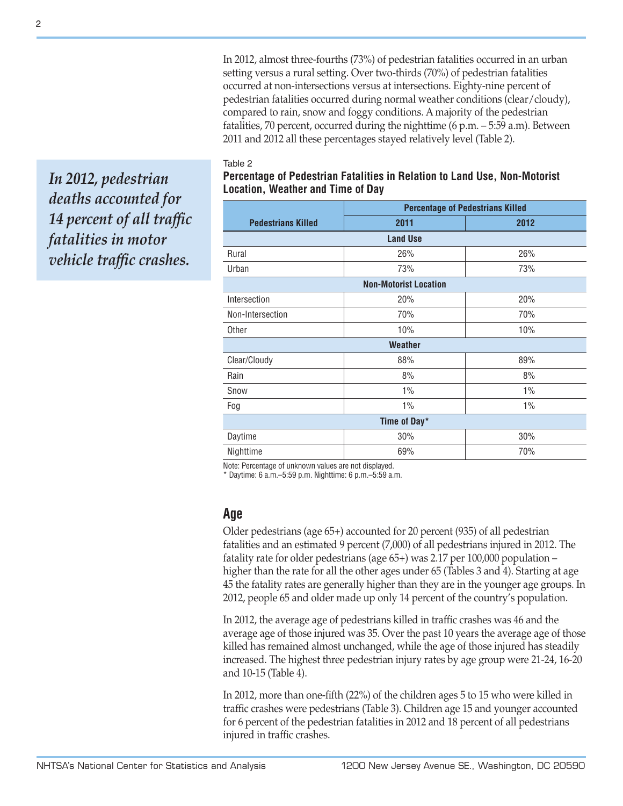In 2012, almost three-fourths (73%) of pedestrian fatalities occurred in an urban setting versus a rural setting. Over two-thirds (70%) of pedestrian fatalities occurred at non-intersections versus at intersections. Eighty-nine percent of pedestrian fatalities occurred during normal weather conditions (clear/cloudy), compared to rain, snow and foggy conditions. A majority of the pedestrian fatalities, 70 percent, occurred during the nighttime (6 p.m. – 5:59 a.m). Between 2011 and 2012 all these percentages stayed relatively level (Table 2).

#### Table 2

*In 2012, pedestrian deaths accounted for 14 percent of all traffic fatalities in motor vehicle traffic crashes.*

| <b>Percentage of Pedestrians Killed</b> |                 |      |  |  |  |  |  |
|-----------------------------------------|-----------------|------|--|--|--|--|--|
| <b>Pedestrians Killed</b>               | 2011            | 2012 |  |  |  |  |  |
|                                         | <b>Land Use</b> |      |  |  |  |  |  |
| Rural                                   | 26%             | 26%  |  |  |  |  |  |
| Urban                                   | 73%             | 73%  |  |  |  |  |  |
| <b>Non-Motorist Location</b>            |                 |      |  |  |  |  |  |
| Intersection                            | 20%             | 20%  |  |  |  |  |  |
| Non-Intersection                        | 70%             | 70%  |  |  |  |  |  |
| Other                                   | 10%             | 10%  |  |  |  |  |  |
|                                         | Weather         |      |  |  |  |  |  |
| Clear/Cloudy                            | 88%             | 89%  |  |  |  |  |  |
| Rain                                    | 8%              | 8%   |  |  |  |  |  |
| Snow                                    | 1%              | 1%   |  |  |  |  |  |
| Fog                                     | $1\%$           | 1%   |  |  |  |  |  |
| Time of Day*                            |                 |      |  |  |  |  |  |
| Daytime                                 | 30%             | 30%  |  |  |  |  |  |
| Nighttime                               | 69%             | 70%  |  |  |  |  |  |

**Percentage of Pedestrian Fatalities in Relation to Land Use, Non-Motorist Location, Weather and Time of Day**

Note: Percentage of unknown values are not displayed.

\* Daytime: 6 a.m.–5:59 p.m. Nighttime: 6 p.m.–5:59 a.m.

## **Age**

Older pedestrians (age 65+) accounted for 20 percent (935) of all pedestrian fatalities and an estimated 9 percent (7,000) of all pedestrians injured in 2012. The fatality rate for older pedestrians (age 65+) was 2.17 per 100,000 population – higher than the rate for all the other ages under 65 (Tables 3 and 4). Starting at age 45 the fatality rates are generally higher than they are in the younger age groups. In 2012, people 65 and older made up only 14 percent of the country's population.

In 2012, the average age of pedestrians killed in traffic crashes was 46 and the average age of those injured was 35. Over the past 10 years the average age of those killed has remained almost unchanged, while the age of those injured has steadily increased. The highest three pedestrian injury rates by age group were 21-24, 16-20 and 10-15 (Table 4).

In 2012, more than one-fifth (22%) of the children ages 5 to 15 who were killed in traffic crashes were pedestrians (Table 3). Children age 15 and younger accounted for 6 percent of the pedestrian fatalities in 2012 and 18 percent of all pedestrians injured in traffic crashes.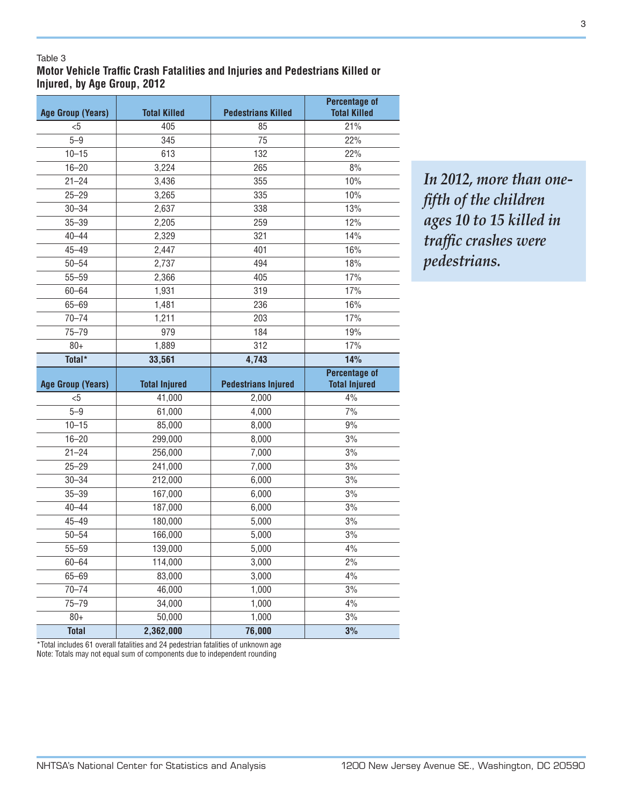#### Table 3

**Motor Vehicle Traffic Crash Fatalities and Injuries and Pedestrians Killed or Injured, by Age Group, 2012**

| <b>Age Group (Years)</b> | <b>Total Killed</b>  | <b>Pedestrians Killed</b>  | <b>Percentage of</b><br><b>Total Killed</b> |
|--------------------------|----------------------|----------------------------|---------------------------------------------|
| $5$                      | 405                  | 85                         | 21%                                         |
| $5 - 9$                  | 345                  | 75                         | 22%                                         |
| $10 - 15$                | 613                  | 132                        | 22%                                         |
| $16 - 20$                | 3,224                | 265                        | 8%                                          |
| $21 - 24$                | 3,436                | 355                        | 10%                                         |
| $25 - 29$                | 3,265                | 335                        | 10%                                         |
| $30 - 34$                | 2,637                | 338                        | 13%                                         |
| $35 - 39$                | 2,205                | 259                        | 12%                                         |
| $40 - 44$                | 2,329                | 321                        | 14%                                         |
| $45 - 49$                | 2,447                | 401                        | 16%                                         |
| $50 - 54$                | 2,737                | 494                        | 18%                                         |
| $55 - 59$                | 2,366                | 405                        | 17%                                         |
| $60 - 64$                | 1,931                | 319                        | 17%                                         |
| $65 - 69$                | 1,481                | 236                        | 16%                                         |
| $70 - 74$                | 1,211                | 203                        | 17%                                         |
| $75 - 79$                | 979                  | 184                        | 19%                                         |
| $80+$                    | 1,889                | 312                        | 17%                                         |
| Total*                   | 33,561               | 4,743                      | 14%                                         |
|                          |                      |                            |                                             |
|                          |                      |                            | <b>Percentage of</b>                        |
| <b>Age Group (Years)</b> | <b>Total Injured</b> | <b>Pedestrians Injured</b> | <b>Total Injured</b>                        |
| $5$                      | 41,000               | 2,000                      | 4%                                          |
| $5 - 9$                  | 61,000               | 4,000                      | 7%                                          |
| $10 - 15$                | 85,000               | 8,000                      | 9%                                          |
| $16 - 20$                | 299,000              | 8,000                      | 3%                                          |
| $21 - 24$                | 256,000              | 7,000                      | 3%                                          |
| $25 - 29$                | 241,000              | 7,000                      | 3%                                          |
| $30 - 34$                | 212,000              | 6,000                      | 3%                                          |
| $35 - 39$                | 167,000              | 6,000                      | 3%                                          |
| $40 - 44$                | 187,000              | 6,000                      | 3%                                          |
| $45 - 49$                | 180,000              | 5,000                      | 3%                                          |
| $50 - 54$                | 166,000              | 5,000                      | 3%                                          |
| $55 - 59$                | 139,000              | 5,000                      | 4%                                          |
| $60 - 64$                | 114,000              | 3,000                      | $2\%$                                       |
| $65 - 69$                | 83,000               | 3,000                      | 4%                                          |
| $70 - 74$                | 46,000               | 1,000                      | 3%                                          |
| $75 - 79$                | 34,000               | 1,000                      | 4%                                          |
| $80+$<br><b>Total</b>    | 50,000               | 1,000<br>76,000            | 3%                                          |

*In 2012, more than onefifth of the children ages 10 to 15 killed in traffic crashes were pedestrians.*

\*Total includes 61 overall fatalities and 24 pedestrian fatalities of unknown age Note: Totals may not equal sum of components due to independent rounding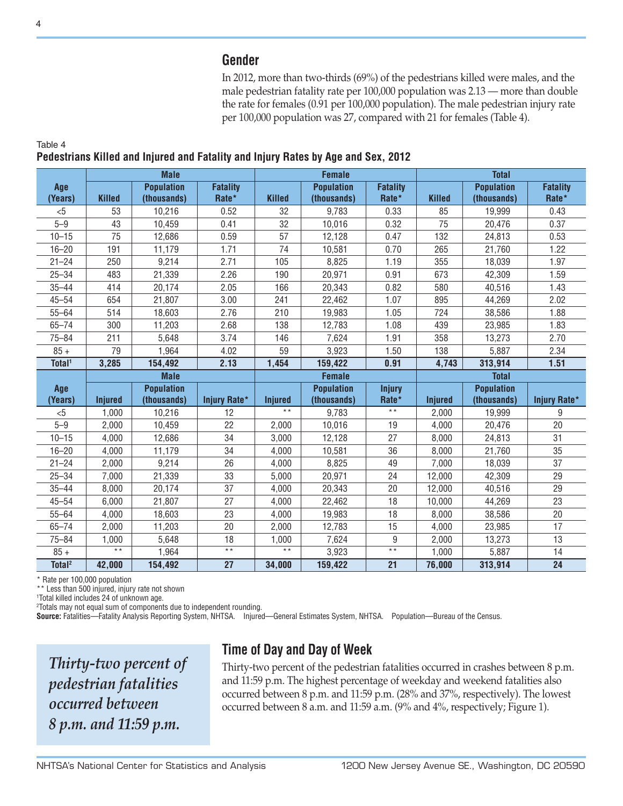## **Gender**

In 2012, more than two-thirds (69%) of the pedestrians killed were males, and the male pedestrian fatality rate per 100,000 population was 2.13 — more than double the rate for females (0.91 per 100,000 population). The male pedestrian injury rate per 100,000 population was 27, compared with 21 for females (Table 4).

|                    |                   | <b>Male</b>       |                     |                 | <b>Female</b>     |                 |                | <b>Total</b>      |                     |
|--------------------|-------------------|-------------------|---------------------|-----------------|-------------------|-----------------|----------------|-------------------|---------------------|
| Age                |                   | <b>Population</b> | <b>Fatality</b>     |                 | <b>Population</b> | <b>Fatality</b> |                | <b>Population</b> | <b>Fatality</b>     |
| (Years)            | <b>Killed</b>     | (thousands)       | Rate*               | <b>Killed</b>   | (thousands)       | Rate*           | <b>Killed</b>  | (thousands)       | Rate*               |
| < 5                | 53                | 10,216            | 0.52                | 32              | 9,783             | 0.33            | 85             | 19,999            | 0.43                |
| $5 - 9$            | 43                | 10,459            | 0.41                | 32              | 10,016            | 0.32            | 75             | 20,476            | 0.37                |
| $10 - 15$          | 75                | 12,686            | 0.59                | 57              | 12,128            | 0.47            | 132            | 24,813            | 0.53                |
| $16 - 20$          | 191               | 11,179            | 1.71                | 74              | 10,581            | 0.70            | 265            | 21,760            | 1.22                |
| $21 - 24$          | 250               | 9,214             | 2.71                | 105             | 8,825             | 1.19            | 355            | 18,039            | 1.97                |
| $25 - 34$          | 483               | 21,339            | 2.26                | 190             | 20,971            | 0.91            | 673            | 42,309            | 1.59                |
| $35 - 44$          | 414               | 20,174            | 2.05                | 166             | 20,343            | 0.82            | 580            | 40,516            | 1.43                |
| $45 - 54$          | 654               | 21,807            | 3.00                | 241             | 22,462            | 1.07            | 895            | 44,269            | 2.02                |
| $55 - 64$          | 514               | 18,603            | 2.76                | 210             | 19,983            | 1.05            | 724            | 38,586            | 1.88                |
| $65 - 74$          | 300               | 11,203            | 2.68                | 138             | 12,783            | 1.08            | 439            | 23,985            | 1.83                |
| $75 - 84$          | 211               | 5,648             | 3.74                | 146             | 7,624             | 1.91            | 358            | 13,273            | 2.70                |
| $85 +$             | 79                | 1,964             | 4.02                | 59              | 3,923             | 1.50            | 138            | 5,887             | 2.34                |
| Total <sup>1</sup> | 3,285             | 154,492           | 2.13                | 1,454           | 159,422           | 0.91            | 4,743          | 313,914           | 1.51                |
|                    |                   | <b>Male</b>       |                     |                 | <b>Female</b>     |                 | <b>Total</b>   |                   |                     |
| Age                | <b>Population</b> |                   |                     |                 | <b>Population</b> | <b>Injury</b>   |                | <b>Population</b> |                     |
| (Years)            | <b>Injured</b>    | (thousands)       | <b>Injury Rate*</b> | <b>Injured</b>  | (thousands)       | Rate*           | <b>Injured</b> | (thousands)       | <b>Injury Rate*</b> |
| &5                 | 1,000             | 10,216            | 12                  | $\overline{**}$ | 9,783             | $\star \star$   | 2,000          | 19,999            | 9                   |
| $5 - 9$            | 2,000             | 10,459            | 22                  | 2,000           | 10,016            | 19              | 4,000          | 20,476            | 20                  |
| $10 - 15$          | 4,000             | 12,686            | 34                  | 3,000           | 12,128            | 27              | 8,000          | 24,813            | 31                  |
| $16 - 20$          | 4,000             | 11,179            | 34                  | 4,000           | 10,581            | 36              | 8,000          | 21,760            | 35                  |
| $21 - 24$          | 2,000             | 9,214             | 26                  | 4,000           | 8,825             | 49              | 7,000          | 18,039            | 37                  |
| $25 - 34$          | 7,000             | 21,339            | 33                  | 5,000           | 20,971            | 24              | 12,000         | 42,309            | 29                  |
| $35 - 44$          | 8,000             | 20,174            | 37                  | 4,000           | 20,343            | 20              | 12,000         | 40,516            | 29                  |
| $45 - 54$          | 6,000             | 21,807            | 27                  | 4,000           | 22,462            | 18              | 10,000         | 44,269            | 23                  |
| $55 - 64$          | 4,000             | 18,603            | 23                  | 4,000           | 19,983            | 18              | 8,000          | 38,586            | 20                  |
| $65 - 74$          | 2,000             | 11,203            | 20                  | 2,000           | 12,783            | 15              | 4,000          | 23,985            | 17                  |
| $75 - 84$          | 1,000             | 5,648             | 18                  | 1,000           | 7,624             | 9               | 2,000          | 13,273            | 13                  |
| $85 +$             | $\star \star$     | 1,964             | $\star \star$       | $\star \star$   | 3,923             | $\star\star$    | 1,000          | 5,887             | 14                  |
| Total <sup>2</sup> | 42,000            | 154,492           | 27                  | 34,000          | 159,422           | 21              | 76,000         | 313,914           | 24                  |

# **Pedestrians Killed and Injured and Fatality and Injury Rates by Age and Sex, 2012**

\* Rate per 100,000 population

\*\* Less than 500 injured, injury rate not shown

1 Total killed includes 24 of unknown age.

2 Totals may not equal sum of components due to independent rounding.

**Source:** Fatalities—Fatality Analysis Reporting System, NHTSA. Injured—General Estimates System, NHTSA. Population—Bureau of the Census.

*Thirty-two percent of pedestrian fatalities occurred between 8 p.m. and 11:59 p.m.*

# **Time of Day and Day of Week**

Thirty-two percent of the pedestrian fatalities occurred in crashes between 8 p.m. and 11:59 p.m. The highest percentage of weekday and weekend fatalities also occurred between 8 p.m. and 11:59 p.m. (28% and 37%, respectively). The lowest occurred between 8 a.m. and 11:59 a.m. (9% and 4%, respectively; Figure 1).

Table 4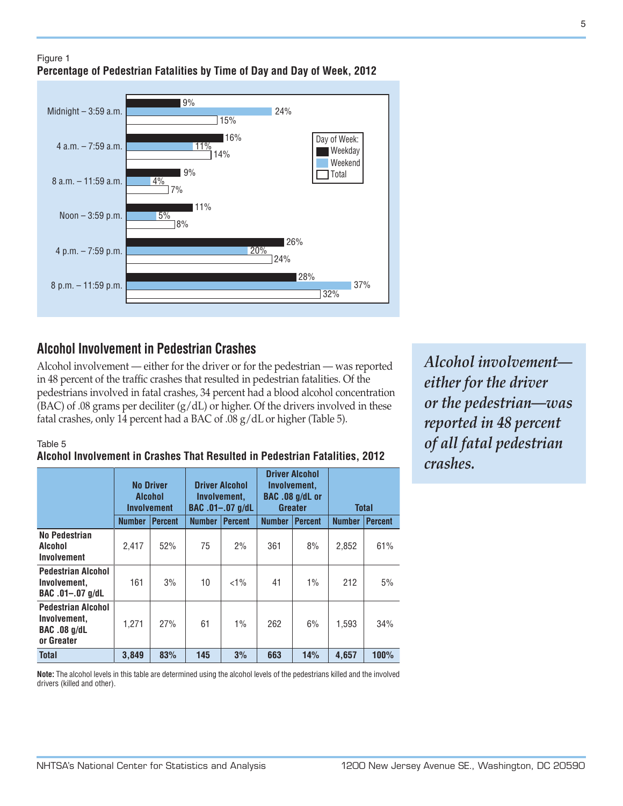### Figure 1 **Percentage of Pedestrian Fatalities by Time of Day and Day of Week, 2012**

15% 16%

14%

24%

26%

28%

32%

Day of Week:

Weekend Total

Weekday

37%

24%

20%

9%

9%

 $\frac{1}{2}$ 

4%

 $5%$ 8% 11%

11%

# **Alcohol Involvement in Pedestrian Crashes**

Alcohol involvement — either for the driver or for the pedestrian — was reported in 48 percent of the traffic crashes that resulted in pedestrian fatalities. Of the pedestrians involved in fatal crashes, 34 percent had a blood alcohol concentration  $(BAC)$  of .08 grams per deciliter  $(g/dL)$  or higher. Of the drivers involved in these fatal crashes, only 14 percent had a BAC of .08 g/dL or higher (Table 5).

Table 5

Midnight – 3:59 a.m.

4 a.m. – 7:59 a.m.

8 a.m. – 11:59 a.m.

Noon – 3:59 p.m.

4 p.m. – 7:59 p.m.

8 p.m. – 11:59 p.m.

#### **Alcohol Involvement in Crashes That Resulted in Pedestrian Fatalities, 2012**

|                                                                                | <b>No Driver</b><br><b>Alcohol</b><br><b>Involvement</b> |                |               | <b>Driver Alcohol</b><br>Involvement,<br>BAC .01-.07 g/dL |               | <b>Driver Alcohol</b><br>Involvement.<br>BAC .08 g/dL or<br><b>Greater</b> |               | <b>Total</b>   |  |
|--------------------------------------------------------------------------------|----------------------------------------------------------|----------------|---------------|-----------------------------------------------------------|---------------|----------------------------------------------------------------------------|---------------|----------------|--|
|                                                                                | <b>Number</b>                                            | <b>Percent</b> | <b>Number</b> | <b>Percent</b>                                            | <b>Number</b> | <b>Percent</b>                                                             | <b>Number</b> | <b>Percent</b> |  |
| No Pedestrian<br>Alcohol<br>Involvement                                        | 2,417                                                    | 52%            | 75            | 2%                                                        | 361           | 8%                                                                         | 2,852         | 61%            |  |
| <b>Pedestrian Alcohol</b><br>Involvement,<br>$BAC.01-.07 g/dL$                 | 161                                                      | 3%             | 10            | $<1\%$                                                    | 41            | $1\%$                                                                      | 212           | 5%             |  |
| <b>Pedestrian Alcohol</b><br>Involvement,<br><b>BAC .08 g/dL</b><br>or Greater | 1,271                                                    | 27%            | 61            | 1%                                                        | 262           | 6%                                                                         | 1,593         | 34%            |  |
| <b>Total</b>                                                                   | 3,849                                                    | 83%            | 145           | 3%                                                        | 663           | 14%                                                                        | 4.657         | 100%           |  |

**Note:** The alcohol levels in this table are determined using the alcohol levels of the pedestrians killed and the involved drivers (killed and other).

*Alcohol involvement either for the driver or the pedestrian—was reported in 48 percent of all fatal pedestrian crashes.*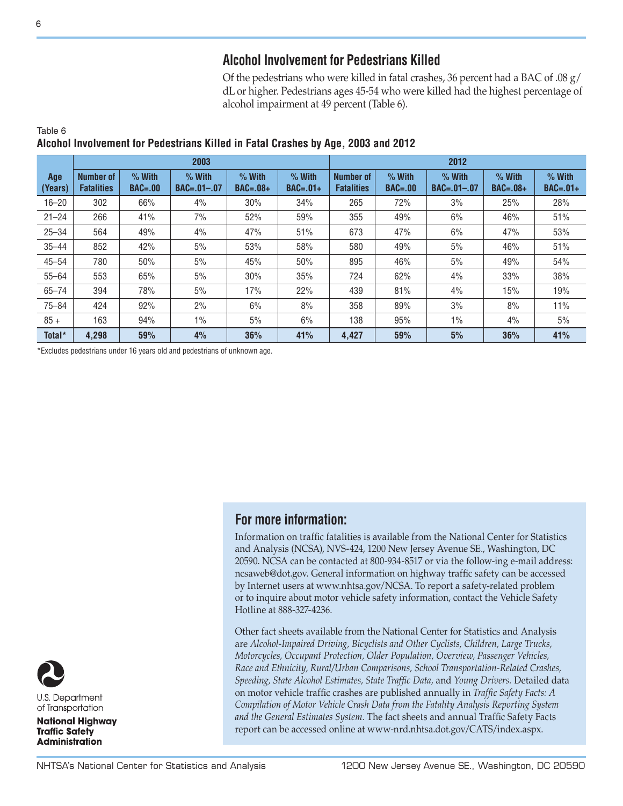# **Alcohol Involvement for Pedestrians Killed**

Of the pedestrians who were killed in fatal crashes, 36 percent had a BAC of .08 g/ dL or higher. Pedestrians ages 45-54 who were killed had the highest percentage of alcohol impairment at 49 percent (Table 6).

|                |                                       |                         | 2003                          |                        |                        | 2012                                  |                         |                               |                        |                        |
|----------------|---------------------------------------|-------------------------|-------------------------------|------------------------|------------------------|---------------------------------------|-------------------------|-------------------------------|------------------------|------------------------|
| Age<br>(Years) | <b>Number of</b><br><b>Fatalities</b> | $%$ With<br>$BAC = .00$ | $%$ With<br>$BAC = .01 - .07$ | $%$ With<br>$BAC=.08+$ | $%$ With<br>$BAC=.01+$ | <b>Number of</b><br><b>Fatalities</b> | $%$ With<br>$BAC = .00$ | $%$ With<br>$BAC = .01 - .07$ | $%$ With<br>$BAC=.08+$ | $%$ With<br>$BAC=.01+$ |
| $16 - 20$      | 302                                   | 66%                     | 4%                            | 30%                    | 34%                    | 265                                   | 72%                     | 3%                            | 25%                    | 28%                    |
| $21 - 24$      | 266                                   | 41%                     | 7%                            | 52%                    | 59%                    | 355                                   | 49%                     | 6%                            | 46%                    | 51%                    |
| $25 - 34$      | 564                                   | 49%                     | $4\%$                         | 47%                    | 51%                    | 673                                   | 47%                     | 6%                            | 47%                    | 53%                    |
| $35 - 44$      | 852                                   | 42%                     | 5%                            | 53%                    | 58%                    | 580                                   | 49%                     | 5%                            | 46%                    | 51%                    |
| $45 - 54$      | 780                                   | 50%                     | 5%                            | 45%                    | 50%                    | 895                                   | 46%                     | 5%                            | 49%                    | 54%                    |
| $55 - 64$      | 553                                   | 65%                     | 5%                            | 30%                    | 35%                    | 724                                   | 62%                     | 4%                            | 33%                    | 38%                    |
| $65 - 74$      | 394                                   | 78%                     | 5%                            | 17%                    | 22%                    | 439                                   | 81%                     | 4%                            | 15%                    | 19%                    |
| $75 - 84$      | 424                                   | 92%                     | 2%                            | 6%                     | 8%                     | 358                                   | 89%                     | 3%                            | 8%                     | 11%                    |
| $85 +$         | 163                                   | 94%                     | $1\%$                         | 5%                     | 6%                     | 138                                   | 95%                     | $1\%$                         | 4%                     | 5%                     |
| Total*         | 4,298                                 | 59%                     | 4%                            | 36%                    | 41%                    | 4,427                                 | 59%                     | 5%                            | 36%                    | 41%                    |

#### Table 6 **Alcohol Involvement for Pedestrians Killed in Fatal Crashes by Age, 2003 and 2012**

\*Excludes pedestrians under 16 years old and pedestrians of unknown age.

## **For more information:**

Information on traffic fatalities is available from the National Center for Statistics and Analysis (NCSA), NVS-424, 1200 New Jersey Avenue SE., Washington, DC 20590. NCSA can be contacted at 800-934-8517 or via the follow-ing e-mail address: ncsaweb@dot.gov. General information on highway traffic safety can be accessed by Internet users at www.nhtsa.gov/NCSA. To report a safety-related problem or to inquire about motor vehicle safety information, contact the Vehicle Safety Hotline at 888-327-4236.

Other fact sheets available from the National Center for Statistics and Analysis are *Alcohol-Impaired Driving, Bicyclists and Other Cyclists, Children, Large Trucks, Motorcycles, Occupant Protection, Older Population, Overview, Passenger Vehicles, Race and Ethnicity, Rural/Urban Comparisons, School Transportation-Related Crashes, Speeding, State Alcohol Estimates, State Traffic Data,* and *Young Drivers.* Detailed data on motor vehicle traffic crashes are published annually in *Traffic Safety Facts: A Compilation of Motor Vehicle Crash Data from the Fatality Analysis Reporting System and the General Estimates System.* The fact sheets and annual Traffic Safety Facts report can be accessed online at www-nrd.nhtsa.dot.gov/CATS/index.aspx.



U.S. Department of Transportation

**National Highway Traffic Safety Administration**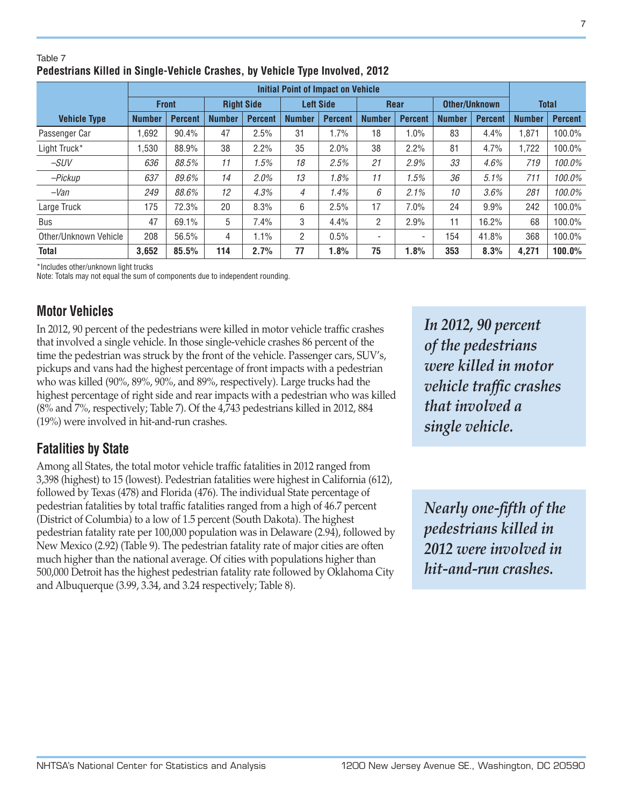\*Includes other/unknown light trucks Note: Totals may not equal the sum of components due to independent rounding.

# **Motor Vehicles**

Table 7

In 2012, 90 percent of the pedestrians were killed in motor vehicle traffic crashes that involved a single vehicle. In those single-vehicle crashes 86 percent of the time the pedestrian was struck by the front of the vehicle. Passenger cars, SUV's, pickups and vans had the highest percentage of front impacts with a pedestrian who was killed (90%, 89%, 90%, and 89%, respectively). Large trucks had the highest percentage of right side and rear impacts with a pedestrian who was killed (8% and 7%, respectively; Table 7). Of the 4,743 pedestrians killed in 2012, 884 (19%) were involved in hit-and-run crashes.

# **Fatalities by State**

Among all States, the total motor vehicle traffic fatalities in 2012 ranged from 3,398 (highest) to 15 (lowest). Pedestrian fatalities were highest in California (612), followed by Texas (478) and Florida (476). The individual State percentage of pedestrian fatalities by total traffic fatalities ranged from a high of 46.7 percent (District of Columbia) to a low of 1.5 percent (South Dakota). The highest pedestrian fatality rate per 100,000 population was in Delaware (2.94), followed by New Mexico (2.92) (Table 9). The pedestrian fatality rate of major cities are often much higher than the national average. Of cities with populations higher than 500,000 Detroit has the highest pedestrian fatality rate followed by Oklahoma City and Albuquerque (3.99, 3.34, and 3.24 respectively; Table 8).

*In 2012, 90 percent of the pedestrians were killed in motor vehicle traffic crashes that involved a single vehicle.*

*Nearly one-fifth of the pedestrians killed in 2012 were involved in hit-and-run crashes.*

| $1$ uniu 1                                                                   |  |
|------------------------------------------------------------------------------|--|
| Pedestrians Killed in Single-Vehicle Crashes, by Vehicle Type Involved, 2012 |  |

**Initial Point of Impact on Vehicle**

*–SUV 636 88.5% 11 1.5% 18 2.5% 21 2.9% 33 4.6% 719 100.0% –Pickup 637 89.6% 14 2.0% 13 1.8% 11 1.5% 36 5.1% 711 100.0% –Van 249 88.6% 12 4.3% 4 1.4% 6 2.1% 10 3.6% 281 100.0%* Large Truck 175 72.3% 20 8.3% 6 2.5% 17 7.0% 24 9.9% 242 100.0% Bus | 47 | 69.1% | 5 | 7.4% | 3 | 4.4% | 2 | 2.9% | 11 | 16.2% | 68 | 100.0% Other/Unknown Vehicle 208 56.5% 4 1.1% 2 0.5% - - 154 41.8% 368 100.0% **Total 3,652 85.5% 114 2.7% 77 1.8% 75 1.8% 353 8.3% 4,271 100.0%**

**Front Right Side Left Side Rear Other/Unknown Total**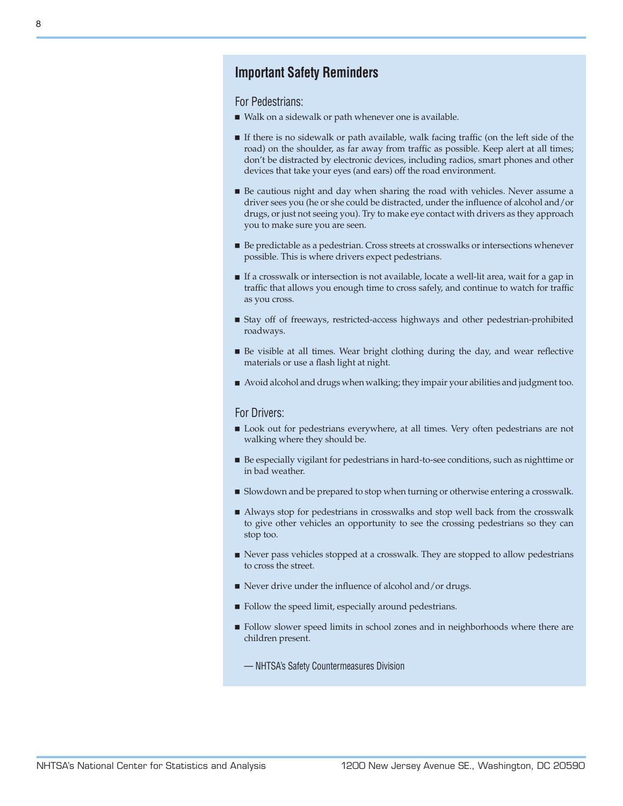## **Important Safety Reminders**

For Pedestrians:

- Walk on a sidewalk or path whenever one is available.
- <sup>n</sup> If there is no sidewalk or path available, walk facing traffic (on the left side of the road) on the shoulder, as far away from traffic as possible. Keep alert at all times; don't be distracted by electronic devices, including radios, smart phones and other devices that take your eyes (and ears) off the road environment.
- <sup>n</sup> Be cautious night and day when sharing the road with vehicles. Never assume a driver sees you (he or she could be distracted, under the influence of alcohol and/or drugs, or just not seeing you). Try to make eye contact with drivers as they approach you to make sure you are seen.
- Be predictable as a pedestrian. Cross streets at crosswalks or intersections whenever possible. This is where drivers expect pedestrians.
- <sup>n</sup> If a crosswalk or intersection is not available, locate a well-lit area, wait for a gap in traffic that allows you enough time to cross safely, and continue to watch for traffic as you cross.
- <sup>n</sup> Stay off of freeways, restricted-access highways and other pedestrian-prohibited roadways.
- <sup>n</sup> Be visible at all times. Wear bright clothing during the day, and wear reflective materials or use a flash light at night.
- <sup>n</sup> Avoid alcohol and drugs when walking; they impair your abilities and judgment too.

#### For Drivers:

- <sup>n</sup> Look out for pedestrians everywhere, at all times. Very often pedestrians are not walking where they should be.
- <sup>n</sup> Be especially vigilant for pedestrians in hard-to-see conditions, such as nighttime or in bad weather.
- **n** Slowdown and be prepared to stop when turning or otherwise entering a crosswalk.
- <sup>n</sup> Always stop for pedestrians in crosswalks and stop well back from the crosswalk to give other vehicles an opportunity to see the crossing pedestrians so they can stop too.
- <sup>n</sup> Never pass vehicles stopped at a crosswalk. They are stopped to allow pedestrians to cross the street.
- $\blacksquare$  Never drive under the influence of alcohol and/or drugs.
- <sup>n</sup> Follow the speed limit, especially around pedestrians.
- <sup>n</sup> Follow slower speed limits in school zones and in neighborhoods where there are children present.
	- NHTSA's Safety Countermeasures Division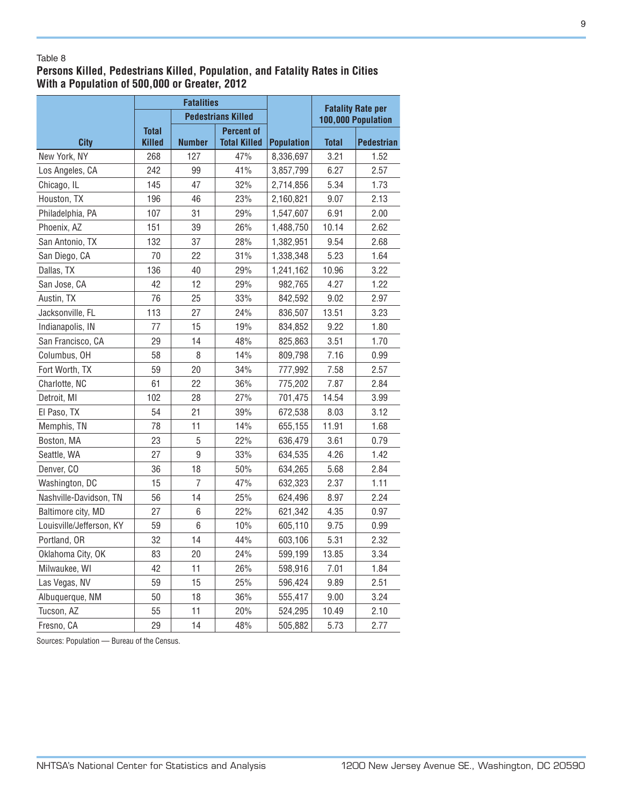#### Table 8

### **Persons Killed, Pedestrians Killed, Population, and Fatality Rates in Cities With a Population of 500,000 or Greater, 2012**

|                          | <b>Fatalities</b>             |                |                                          |                   | <b>Fatality Rate per</b> |                    |  |
|--------------------------|-------------------------------|----------------|------------------------------------------|-------------------|--------------------------|--------------------|--|
|                          |                               |                | <b>Pedestrians Killed</b>                |                   |                          | 100,000 Population |  |
| <b>City</b>              | <b>Total</b><br><b>Killed</b> | <b>Number</b>  | <b>Percent of</b><br><b>Total Killed</b> | <b>Population</b> | <b>Total</b>             | <b>Pedestrian</b>  |  |
| New York, NY             | 268                           | 127            | 47%                                      | 8,336,697         | 3.21                     | 1.52               |  |
| Los Angeles, CA          | 242                           | 99             | 41%                                      | 3,857,799         | 6.27                     | 2.57               |  |
| Chicago, IL              | 145                           | 47             | 32%                                      | 2,714,856         | 5.34                     | 1.73               |  |
| Houston, TX              | 196                           | 46             | 23%                                      | 2,160,821         | 9.07                     | 2.13               |  |
| Philadelphia, PA         | 107                           | 31             | 29%                                      | 1,547,607         | 6.91                     | 2.00               |  |
| Phoenix, AZ              | 151                           | 39             | 26%                                      | 1,488,750         | 10.14                    | 2.62               |  |
| San Antonio, TX          | 132                           | 37             | 28%                                      | 1,382,951         | 9.54                     | 2.68               |  |
| San Diego, CA            | 70                            | 22             | 31%                                      | 1,338,348         | 5.23                     | 1.64               |  |
| Dallas, TX               | 136                           | 40             | 29%                                      | 1,241,162         | 10.96                    | 3.22               |  |
| San Jose, CA             | 42                            | 12             | 29%                                      | 982,765           | 4.27                     | 1.22               |  |
| Austin, TX               | 76                            | 25             | 33%                                      | 842,592           | 9.02                     | 2.97               |  |
| Jacksonville, FL         | 113                           | 27             | 24%                                      | 836,507           | 13.51                    | 3.23               |  |
| Indianapolis, IN         | 77                            | 15             | 19%                                      | 834,852           | 9.22                     | 1.80               |  |
| San Francisco, CA        | 29                            | 14             | 48%                                      | 825,863           | 3.51                     | 1.70               |  |
| Columbus, OH             | 58                            | 8              | 14%                                      | 809,798           | 7.16                     | 0.99               |  |
| Fort Worth, TX           | 59                            | 20             | 34%                                      | 777,992           | 7.58                     | 2.57               |  |
| Charlotte, NC            | 61                            | 22             | 36%                                      | 775,202           | 7.87                     | 2.84               |  |
| Detroit, MI              | 102                           | 28             | 27%                                      | 701,475           | 14.54                    | 3.99               |  |
| El Paso, TX              | 54                            | 21             | 39%                                      | 672,538           | 8.03                     | 3.12               |  |
| Memphis, TN              | 78                            | 11             | 14%                                      | 655,155           | 11.91                    | 1.68               |  |
| Boston, MA               | 23                            | 5              | 22%                                      | 636,479           | 3.61                     | 0.79               |  |
| Seattle, WA              | 27                            | $\overline{9}$ | 33%                                      | 634,535           | 4.26                     | 1.42               |  |
| Denver, CO               | 36                            | 18             | 50%                                      | 634,265           | 5.68                     | 2.84               |  |
| Washington, DC           | 15                            | $\overline{7}$ | 47%                                      | 632,323           | 2.37                     | 1.11               |  |
| Nashville-Davidson, TN   | 56                            | 14             | 25%                                      | 624,496           | 8.97                     | 2.24               |  |
| Baltimore city, MD       | 27                            | 6              | 22%                                      | 621,342           | 4.35                     | 0.97               |  |
| Louisville/Jefferson, KY | 59                            | 6              | 10%                                      | 605,110           | 9.75                     | 0.99               |  |
| Portland, OR             | 32                            | 14             | 44%                                      | 603,106           | 5.31                     | 2.32               |  |
| Oklahoma City, OK        | 83                            | 20             | 24%                                      | 599,199           | 13.85                    | 3.34               |  |
| Milwaukee, WI            | 42                            | 11             | 26%                                      | 598,916           | 7.01                     | 1.84               |  |
| Las Vegas, NV            | 59                            | 15             | 25%                                      | 596,424           | 9.89                     | 2.51               |  |
| Albuquerque, NM          | 50                            | 18             | 36%                                      | 555,417           | 9.00                     | 3.24               |  |
| Tucson, AZ               | 55                            | 11             | 20%                                      | 524,295           | 10.49                    | 2.10               |  |
| Fresno, CA               | 29                            | 14             | 48%                                      | 505,882           | 5.73                     | 2.77               |  |

Sources: Population — Bureau of the Census.